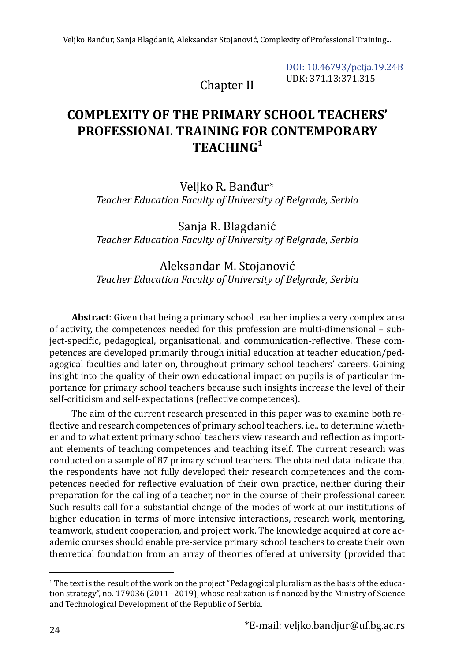[DOI: 10.46793/pctja.19.24B](https://doi.org/10.46793/pctja.19.24B) UDK: 371.13:371.315

Chapter II

# **COMPLEXITY OF THE PRIMARY SCHOOL TEACHERS' PROFESSIONAL TRAINING FOR CONTEMPORARY TEACHING<sup>1</sup>**

Veljko R. Banđur\* *Teacher Education Faculty of University of Belgrade, Serbia*

Sanja R. Blagdanić *Teacher Education Faculty of University of Belgrade, Serbia* 

## Aleksandar M. Stojanović *Teacher Education Faculty of University of Belgrade, Serbia*

**Abstract**: Given that being a primary school teacher implies a very complex area of activity, the competences needed for this profession are multi-dimensional – subject-specific, pedagogical, organisational, and communication-reflective. These competences are developed primarily through initial education at teacher education/pedagogical faculties and later on, throughout primary school teachers' careers. Gaining insight into the quality of their own educational impact on pupils is of particular importance for primary school teachers because such insights increase the level of their self-criticism and self-expectations (reflective competences).

The aim of the current research presented in this paper was to examine both reflective and research competences of primary school teachers, i.e., to determine whether and to what extent primary school teachers view research and reflection as important elements of teaching competences and teaching itself. The current research was conducted on a sample of 87 primary school teachers. The obtained data indicate that the respondents have not fully developed their research competences and the competences needed for reflective evaluation of their own practice, neither during their preparation for the calling of a teacher, nor in the course of their professional career. Such results call for a substantial change of the modes of work at our institutions of higher education in terms of more intensive interactions, research work, mentoring, teamwork, student cooperation, and project work. The knowledge acquired at core academic courses should enable pre-service primary school teachers to create their own theoretical foundation from an array of theories offered at university (provided that

<sup>1</sup> The text is the result of the work on the project "Pedagogical pluralism as the basis of the education strategy", no. 179036 (2011−2019), whose realization is financed by the Ministry of Science and Technological Development of the Republic of Serbia.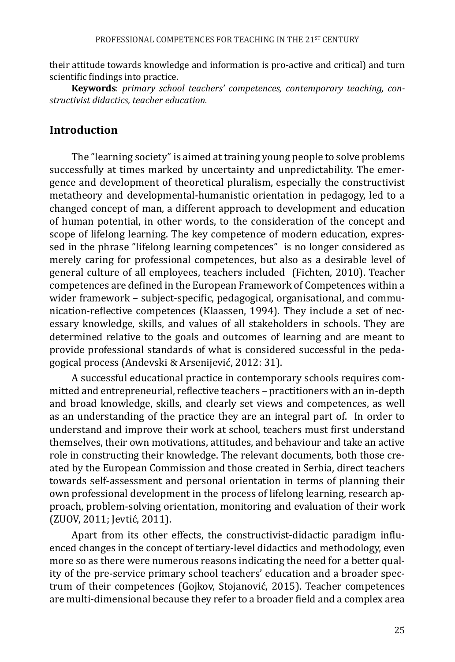their attitude towards knowledge and information is pro-active and critical) and turn scientific findings into practice.

**Keywords**: *primary school teachers' competences, contemporary teaching, constructivist didactics, teacher education.*

#### **Introduction**

The "learning society" is aimed at training young people to solve problems successfully at times marked by uncertainty and unpredictability. The emergence and development of theoretical pluralism, especially the constructivist metatheory and developmental-humanistic orientation in pedagogy, led to a changed concept of man, a different approach to development and education of human potential, in other words, to the consideration of the concept and scope of lifelong learning. The key competence of modern education, expressed in the phrase "lifelong learning competences" is no longer considered as merely caring for professional competences, but also as a desirable level of general culture of all employees, teachers included (Fichten, 2010). Teacher competences are defined in the European Framework of Competences within a wider framework – subject-specific, pedagogical, organisational, and communication-reflective competences (Klaassen, 1994). They include a set of necessary knowledge, skills, and values of all stakeholders in schools. They are determined relative to the goals and outcomes of learning and are meant to provide professional standards of what is considered successful in the pedagogical process (Andevski & Arsenijević, 2012: 31).

A successful educational practice in contemporary schools requires committed and entrepreneurial, reflective teachers – practitioners with an in-depth and broad knowledge, skills, and clearly set views and competences, as well as an understanding of the practice they are an integral part of. In order to understand and improve their work at school, teachers must first understand themselves, their own motivations, attitudes, and behaviour and take an active role in constructing their knowledge. The relevant documents, both those created by the European Commission and those created in Serbia, direct teachers towards self-assessment and personal orientation in terms of planning their own professional development in the process of lifelong learning, research approach, problem-solving orientation, monitoring and evaluation of their work (ZUOV, 2011; Jevtić, 2011).

Apart from its other effects, the constructivist-didactic paradigm influenced changes in the concept of tertiary-level didactics and methodology, even more so as there were numerous reasons indicating the need for a better quality of the pre-service primary school teachers' education and a broader spectrum of their competences (Gojkov, Stojanović, 2015). Teacher competences are multi-dimensional because they refer to a broader field and a complex area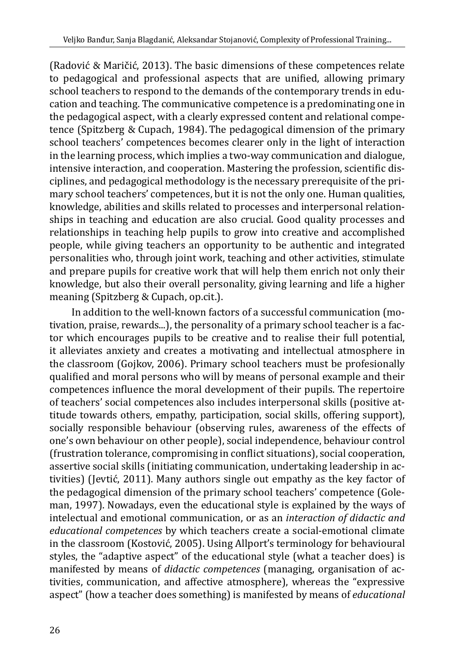(Radović & Maričić, 2013). The basic dimensions of these competences relate to pedagogical and professional aspects that are unified, allowing primary school teachers to respond to the demands of the contemporary trends in education and teaching. The communicative competence is a predominating one in the pedagogical aspect, with a clearly expressed content and relational competence (Spitzberg & Cupach, 1984). The pedagogical dimension of the primary school teachers' competences becomes clearer only in the light of interaction in the learning process, which implies a two-way communication and dialogue, intensive interaction, and cooperation. Mastering the profession, scientific disciplines, and pedagogical methodology is the necessary prerequisite of the primary school teachers' competences, but it is not the only one. Human qualities, knowledge, abilities and skills related to processes and interpersonal relationships in teaching and education are also crucial. Good quality processes and relationships in teaching help pupils to grow into creative and accomplished people, while giving teachers an opportunity to be authentic and integrated personalities who, through joint work, teaching and other activities, stimulate and prepare pupils for creative work that will help them enrich not only their knowledge, but also their overall personality, giving learning and life a higher meaning (Spitzberg & Cupach, op.cit.).

In addition to the well-known factors of a successful communication (motivation, praise, rewards...), the personality of a primary school teacher is a factor which encourages pupils to be creative and to realise their full potential, it alleviates anxiety and creates a motivating and intellectual atmosphere in the classroom (Gojkov, 2006). Primary school teachers must be profesionally qualified and moral persons who will by means of personal example and their competences influence the moral development of their pupils. The repertoire of teachers' social competences also includes interpersonal skills (positive attitude towards others, empathy, participation, social skills, offering support), socially responsible behaviour (observing rules, awareness of the effects of one's own behaviour on other people), social independence, behaviour control (frustration tolerance, compromising in conflict situations), social cooperation, assertive social skills (initiating communication, undertaking leadership in activities) (Jevtić, 2011). Many authors single out empathy as the key factor of the pedagogical dimension of the primary school teachers' competence (Goleman, 1997). Nowadays, even the educational style is explained by the ways of intelectual and emotional communication, or as an *interaction of didactic and educational competences* by which teachers create a social-emotional climate in the classroom (Kostović, 2005). Using Allport's terminology for behavioural styles, the "adaptive aspect" of the educational style (what a teacher does) is manifested by means of *didactic competences* (managing, organisation of activities, communication, and affective atmosphere), whereas the "expressive aspect" (how a teacher does something) is manifested by means of *educational*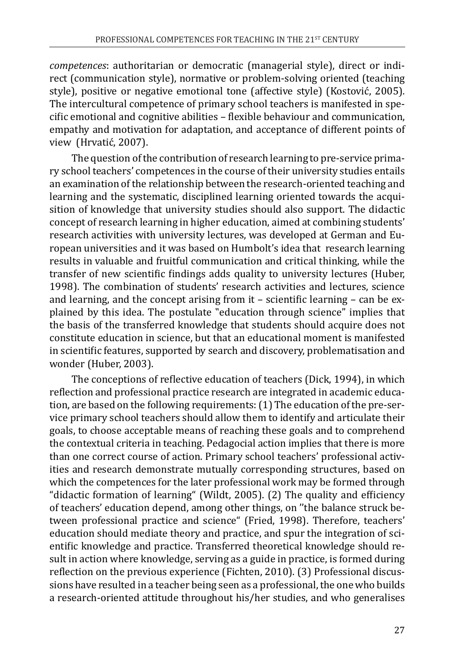*competences*: authoritarian or democratic (managerial style), direct or indirect (communication style), normative or problem-solving oriented (teaching style), positive or negative emotional tone (affective style) (Kostović, 2005). The intercultural competence of primary school teachers is manifested in specific emotional and cognitive abilities – flexible behaviour and communication, empathy and motivation for adaptation, and acceptance of different points of view (Hrvatić, 2007).

The question of the contribution of research learning to pre-service primary school teachers' competences in the course of their university studies entails an examination of the relationship between the research-oriented teaching and learning and the systematic, disciplined learning oriented towards the acquisition of knowledge that university studies should also support. The didactic concept of research learning in higher education, aimed at combining students' research activities with university lectures, was developed at German and European universities and it was based on Humbolt's idea that research learning results in valuable and fruitful communication and critical thinking, while the transfer of new scientific findings adds quality to university lectures (Huber, 1998). The combination of students' research activities and lectures, science and learning, and the concept arising from it – scientific learning – can be explained by this idea. The postulate "education through science" implies that the basis of the transferred knowledge that students should acquire does not constitute education in science, but that an educational moment is manifested in scientific features, supported by search and discovery, problematisation and wonder (Huber, 2003).

The conceptions of reflective education of teachers (Dick, 1994), in which reflection and professional practice research are integrated in academic education, are based on the following requirements: (1) The education of the pre-service primary school teachers should allow them to identify and articulate their goals, to choose acceptable means of reaching these goals and to comprehend the contextual criteria in teaching. Pedagocial action implies that there is more than one correct course of action. Primary school teachers' professional activities and research demonstrate mutually corresponding structures, based on which the competences for the later professional work may be formed through "didactic formation of learning" (Wildt, 2005). (2) The quality and efficiency of teachers' education depend, among other things, on ''the balance struck between professional practice and science" (Fried, 1998). Therefore, teachers' education should mediate theory and practice, and spur the integration of scientific knowledge and practice. Transferred theoretical knowledge should result in action where knowledge, serving as a guide in practice, is formed during reflection on the previous experience (Fichten, 2010). (3) Professional discussions have resulted in a teacher being seen as a professional, the one who builds a research-oriented attitude throughout his/her studies, and who generalises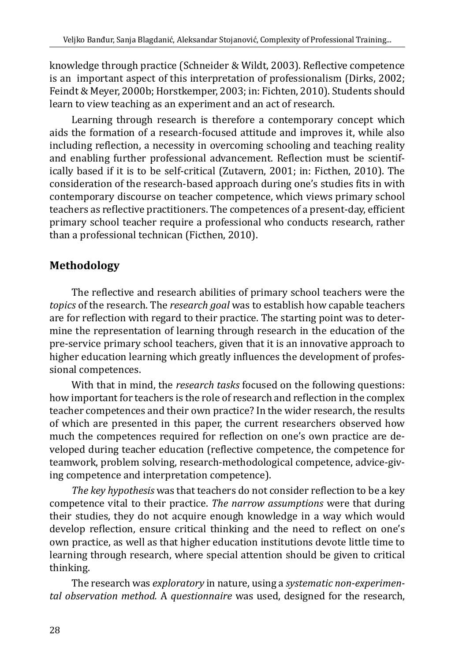knowledge through practice (Schneider & Wildt, 2003). Reflective competence is an important aspect of this interpretation of professionalism (Dirks, 2002; Feindt & Meyer, 2000b; Horstkemper, 2003; in: Fichten, 2010). Students should learn to view teaching as an experiment and an act of research.

Learning through research is therefore a contemporary concept which aids the formation of a research-focused attitude and improves it, while also including reflection, a necessity in overcoming schooling and teaching reality and enabling further professional advancement. Reflection must be scientifically based if it is to be self-critical (Zutavern, 2001; in: Ficthen, 2010). The consideration of the research-based approach during one's studies fits in with contemporary discourse on teacher competence, which views primary school teachers as reflective practitioners. The competences of a present-day, efficient primary school teacher require a professional who conducts research, rather than a professional technican (Ficthen, 2010).

# **Methodology**

The reflective and research abilities of primary school teachers were the *topics* of the research. The *research goal* was to establish how capable teachers are for reflection with regard to their practice. The starting point was to determine the representation of learning through research in the education of the pre-service primary school teachers, given that it is an innovative approach to higher education learning which greatly influences the development of professional competences.

With that in mind, the *research tasks* focused on the following questions: how important for teachers is the role of research and reflection in the complex teacher competences and their own practice? In the wider research, the results of which are presented in this paper, the current researchers observed how much the competences required for reflection on one's own practice are developed during teacher education (reflective competence, the competence for teamwork, problem solving, research-methodological competence, advice-giving competence and interpretation competence).

*The key hypothesis* was that teachers do not consider reflection to be a key competence vital to their practice. *The narrow assumptions* were that during their studies, they do not acquire enough knowledge in a way which would develop reflection, ensure critical thinking and the need to reflect on one's own practice, as well as that higher education institutions devote little time to learning through research, where special attention should be given to critical thinking.

The research was *exploratory* in nature, using a *systematic non-experimental observation method.* A *questionnaire* was used, designed for the research,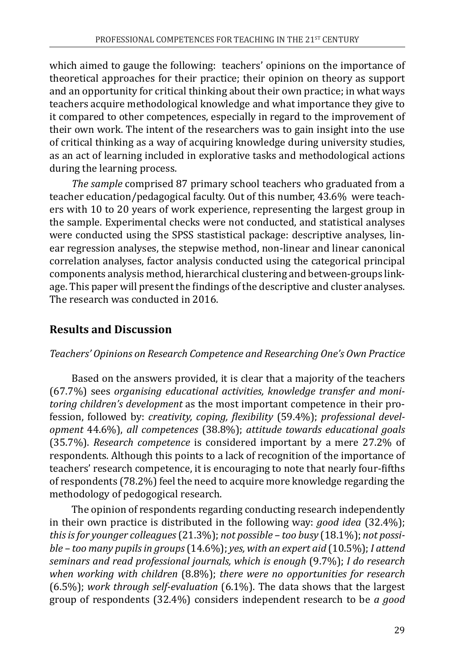which aimed to gauge the following: teachers' opinions on the importance of theoretical approaches for their practice; their opinion on theory as support and an opportunity for critical thinking about their own practice; in what ways teachers acquire methodological knowledge and what importance they give to it compared to other competences, especially in regard to the improvement of their own work. The intent of the researchers was to gain insight into the use of critical thinking as a way of acquiring knowledge during university studies, as an act of learning included in explorative tasks and methodological actions during the learning process.

*The sample* comprised 87 primary school teachers who graduated from a teacher education/pedagogical faculty. Out of this number, 43.6% were teachers with 10 to 20 years of work experience, representing the largest group in the sample. Experimental checks were not conducted, and statistical analyses were conducted using the SPSS stastistical package: descriptive analyses, linear regression analyses, the stepwise method, non-linear and linear canonical correlation analyses, factor analysis conducted using the categorical principal components analysis method, hierarchical clustering and between-groups linkage. This paper will present the findings of the descriptive and cluster analyses. The research was conducted in 2016.

# **Results and Discussion**

### *Teachers' Opinions on Research Competence and Researching One's Own Practice*

Based on the answers provided, it is clear that a majority of the teachers (67.7%) sees *organising educational activities, knowledge transfer and monitoring children's development* as the most important competence in their profession, followed by: *creativity, coping, flexibility* (59.4%); *professional development* 44.6%), *all competences* (38.8%); *attitude towards educational goals*  (35.7%). *Research competence* is considered important by a mere 27.2% of respondents. Although this points to a lack of recognition of the importance of teachers' research competence, it is encouraging to note that nearly four-fifths of respondents (78.2%) feel the need to acquire more knowledge regarding the methodology of pedogogical research.

The opinion of respondents regarding conducting research independently in their own practice is distributed in the following way: *good idea* (32.4%); *this is for younger colleagues* (21.3%); *not possible – too busy* (18.1%); *not possible – too many pupils in groups* (14.6%); *yes, with an expert aid* (10.5%); *I attend seminars and read professional journals, which is enough* (9.7%); *I do research when working with children* (8.8%); *there were no opportunities for research*  (6.5%); *work through self-evaluation* (6.1%). The data shows that the largest group of respondents (32.4%) considers independent research to be *a good*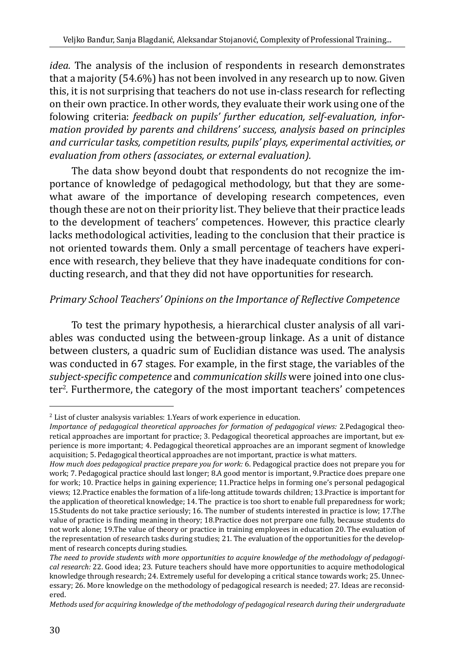*idea.* The analysis of the inclusion of respondents in research demonstrates that a majority (54.6%) has not been involved in any research up to now. Given this, it is not surprising that teachers do not use in-class research for reflecting on their own practice. In other words, they evaluate their work using one of the folowing criteria: *feedback on pupils' further education, self-evaluation, information provided by parents and childrens' success, analysis based on principles and curricular tasks, competition results, pupils' plays, experimental activities, or evaluation from others (associates, or external evaluation).* 

The data show beyond doubt that respondents do not recognize the importance of knowledge of pedagogical methodology, but that they are somewhat aware of the importance of developing research competences, even though these are not on their priority list. They believe that their practice leads to the development of teachers' competences. However, this practice clearly lacks methodological activities, leading to the conclusion that their practice is not oriented towards them. Only a small percentage of teachers have experience with research, they believe that they have inadequate conditions for conducting research, and that they did not have opportunities for research.

### *Primary School Teachers' Opinions on the Importance of Reflective Competence*

To test the primary hypothesis, a hierarchical cluster analysis of all variables was conducted using the between-group linkage. As a unit of distance between clusters, a quadric sum of Euclidian distance was used. The analysis was conducted in 67 stages. For example, in the first stage, the variables of the *subject-specific competence* and *communication skills* were joined into one cluster<sup>2</sup>. Furthermore, the category of the most important teachers' competences

 $2$  List of cluster analsysis variables: 1. Years of work experience in education.

*Importance of pedagogical theoretical approaches for formation of pedagogical views:* 2.Pedagogical theoretical approaches are important for practice; 3. Pedagogical theoretical approaches are important, but experience is more important; 4. Pedagogical theoretical approaches are an imporant segment of knowledge acquisition; 5. Pedagogical theortical approaches are not important, practice is what matters.

*How much does pedagogical practice prepare you for work:* 6. Pedagogical practice does not prepare you for work; 7. Pedagogical practice should last longer; 8.A good mentor is important, 9.Practice does prepare one for work; 10. Practice helps in gaining experience; 11.Practice helps in forming one's personal pedagogical views; 12.Practice enables the formation of a life-long attitude towards children; 13.Practice is important for the application of theoretical knowledge; 14. The practice is too short to enable full preparedness for work; 15.Students do not take practice seriously; 16. The number of students interested in practice is low; 17.The value of practice is finding meaning in theory; 18.Practice does not prerpare one fully, because students do not work alone; 19.The value of theory or practice in training employees in education 20. The evaluation of the representation of research tasks during studies; 21. The evaluation of the opportunities for the development of research concepts during studies.

*The need to provide students with more opportunities to acquire knowledge of the methodology of pedagogical research:* 22. Good idea; 23. Future teachers should have more opportunities to acquire methodological knowledge through research; 24. Extremely useful for developing a critical stance towards work; 25. Unnecessary; 26. More knowledge on the methodology of pedagogical research is needed; 27. Ideas are reconsidered.

*Methods used for acquiring knowledge of the methodology of pedagogical research during their undergraduate*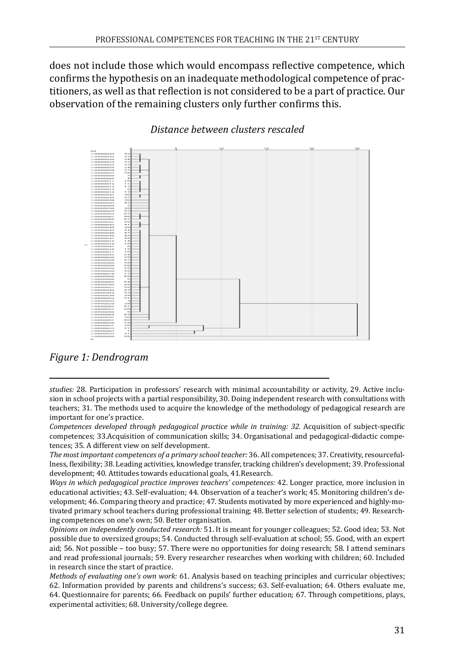does not include those which would encompass reflective competence, which confirms the hypothesis on an inadequate methodological competence of practitioners, as well as that reflection is not considered to be a part of practice. Our observation of the remaining clusters only further confirms this.



#### *Distance between clusters rescaled*

*Figure 1: Dendrogram*

*studies:* 28. Participation in professors' research with minimal accountability or activity, 29. Active inclusion in school projects with a partial responsibility, 30. Doing independent research with consultations with teachers; 31. The methods used to acquire the knowledge of the methodology of pedagogical research are important for one's practice.

*Competences developed through pedagogical practice while in training: 32.* Acquisition of subject-specific competences; 33.Acquisition of communication skills; 34. Organisational and pedagogical-didactic competences; 35. A different view on self development.

*The most important competences of a primary school teacher:* 36. All competences; 37. Creativity, resourcefullness, flexibility; 38. Leading activities, knowledge transfer, tracking children's development; 39. Professional development; 40. Attitudes towards educational goals, 41.Research.

*Ways in which pedagogical practice improves teachers' competences:* 42. Longer practice, more inclusion in educational activities; 43. Self-evaluation; 44. Observation of a teacher's work; 45. Monitoring children's development; 46. Comparing theory and practice; 47. Students motivated by more experienced and highly-motivated primary school teachers during professional training; 48. Better selection of students; 49. Researching competences on one's own; 50. Better organisation.

*Opinions on independently conducted research:* 51. It is meant for younger colleagues; 52. Good idea; 53. Not possible due to oversized groups; 54. Conducted through self-evaluation at school; 55. Good, with an expert aid; 56. Not possible – too busy; 57. There were no opportunities for doing research; 58. I attend seminars and read professional journals; 59. Every researcher researches when working with children; 60. Included in research since the start of practice.

*Methods of evaluating one's own work:* 61. Analysis based on teaching principles and curricular objectives; 62. Information provided by parents and childrens's success; 63. Self-evaluation; 64. Others evaluate me, 64. Questionnaire for parents; 66. Feedback on pupils' further education; 67. Through competitions, plays, experimental activities; 68. University/college degree.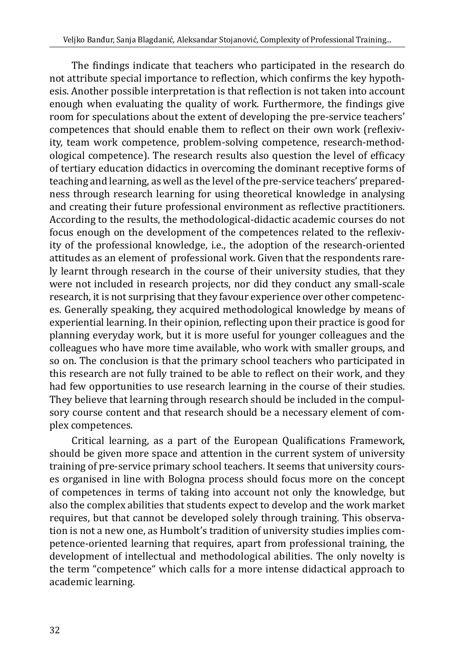The findings indicate that teachers who participated in the research do not attribute special importance to reflection, which confirms the key hypothesis. Another possible interpretation is that reflection is not taken into account enough when evaluating the quality of work. Furthermore, the findings give room for speculations about the extent of developing the pre-service teachers' competences that should enable them to reflect on their own work (reflexivity, team work competence, problem-solving competence, research-methodological competence). The research results also question the level of efficacy of tertiary education didactics in overcoming the dominant receptive forms of teaching and learning, as well as the level of the pre-service teachers' preparedness through research learning for using theoretical knowledge in analysing and creating their future professional environment as reflective practitioners. According to the results, the methodological-didactic academic courses do not focus enough on the development of the competences related to the reflexivity of the professional knowledge, i.e., the adoption of the research-oriented attitudes as an element of professional work. Given that the respondents rarely learnt through research in the course of their university studies, that they were not included in research projects, nor did they conduct any small-scale research, it is not surprising that they favour experience over other competences. Generally speaking, they acquired methodological knowledge by means of experiential learning. In their opinion, reflecting upon their practice is good for planning everyday work, but it is more useful for younger colleagues and the colleagues who have more time available, who work with smaller groups, and so on. The conclusion is that the primary school teachers who participated in this research are not fully trained to be able to reflect on their work, and they had few opportunities to use research learning in the course of their studies. They believe that learning through research should be included in the compulsory course content and that research should be a necessary element of complex competences.

Critical learning, as a part of the European Qualifications Framework, should be given more space and attention in the current system of university training of pre-service primary school teachers. It seems that university courses organised in line with Bologna process should focus more on the concept of competences in terms of taking into account not only the knowledge, but also the complex abilities that students expect to develop and the work market requires, but that cannot be developed solely through training. This observation is not a new one, as Humbolt's tradition of university studies implies competence-oriented learning that requires, apart from professional training, the development of intellectual and methodological abilities. The only novelty is the term "competence" which calls for a more intense didactical approach to academic learning.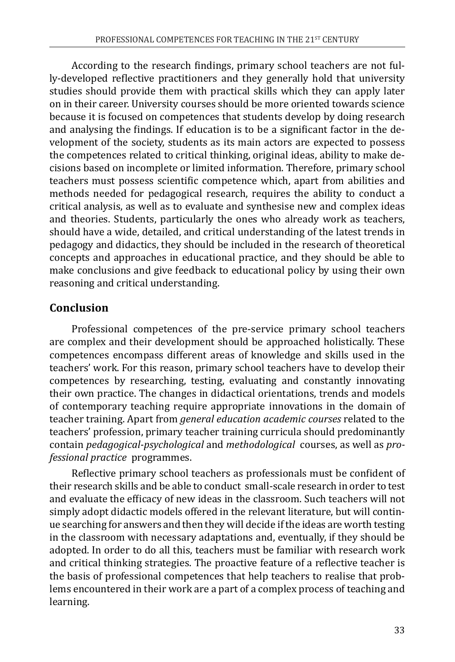According to the research findings, primary school teachers are not fully-developed reflective practitioners and they generally hold that university studies should provide them with practical skills which they can apply later on in their career. University courses should be more oriented towards science because it is focused on competences that students develop by doing research and analysing the findings. If education is to be a significant factor in the development of the society, students as its main actors are expected to possess the competences related to critical thinking, original ideas, ability to make decisions based on incomplete or limited information. Therefore, primary school teachers must possess scientific competence which, apart from abilities and methods needed for pedagogical research, requires the ability to conduct a critical analysis, as well as to evaluate and synthesise new and complex ideas and theories. Students, particularly the ones who already work as teachers, should have a wide, detailed, and critical understanding of the latest trends in pedagogy and didactics, they should be included in the research of theoretical concepts and approaches in educational practice, and they should be able to make conclusions and give feedback to educational policy by using their own reasoning and critical understanding.

### **Conclusion**

Professional competences of the pre-service primary school teachers are complex and their development should be approached holistically. These competences encompass different areas of knowledge and skills used in the teachers' work. For this reason, primary school teachers have to develop their competences by researching, testing, evaluating and constantly innovating their own practice. The changes in didactical orientations, trends and models of contemporary teaching require appropriate innovations in the domain of teacher training. Apart from *general education academic courses* related to the teachers' profession, primary teacher training curricula should predominantly contain *pedagogical-psychological* and *methodological* courses, as well as *professional practice* programmes.

Reflective primary school teachers as professionals must be confident of their research skills and be able to conduct small-scale research in order to test and evaluate the efficacy of new ideas in the classroom. Such teachers will not simply adopt didactic models offered in the relevant literature, but will continue searching for answers and then they will decide if the ideas are worth testing in the classroom with necessary adaptations and, eventually, if they should be adopted. In order to do all this, teachers must be familiar with research work and critical thinking strategies. The proactive feature of a reflective teacher is the basis of professional competences that help teachers to realise that problems encountered in their work are a part of a complex process of teaching and learning.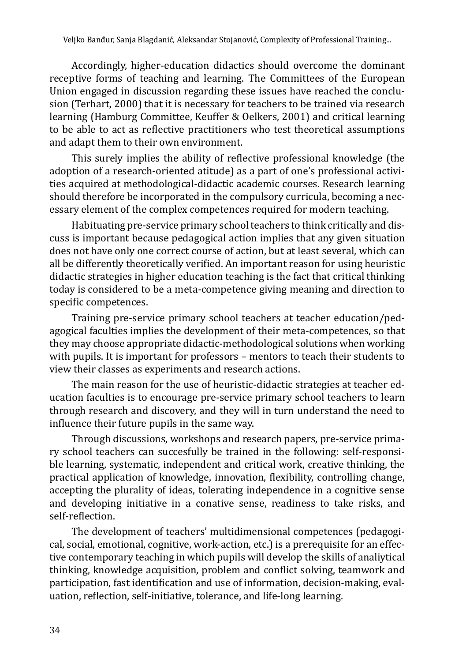Accordingly, higher-education didactics should overcome the dominant receptive forms of teaching and learning. The Committees of the European Union engaged in discussion regarding these issues have reached the conclusion (Terhart, 2000) that it is necessary for teachers to be trained via research learning (Hamburg Committee, Keuffer & Oelkers, 2001) and critical learning to be able to act as reflective practitioners who test theoretical assumptions and adapt them to their own environment.

This surely implies the ability of reflective professional knowledge (the adoption of a research-oriented atitude) as a part of one's professional activities acquired at methodological-didactic academic courses. Research learning should therefore be incorporated in the compulsory curricula, becoming a necessary element of the complex competences required for modern teaching.

Habituating pre-service primary school teachers to think critically and discuss is important because pedagogical action implies that any given situation does not have only one correct course of action, but at least several, which can all be differently theoretically verified. An important reason for using heuristic didactic strategies in higher education teaching is the fact that critical thinking today is considered to be a meta-competence giving meaning and direction to specific competences.

Training pre-service primary school teachers at teacher education/pedagogical faculties implies the development of their meta-competences, so that they may choose appropriate didactic-methodological solutions when working with pupils. It is important for professors – mentors to teach their students to view their classes as experiments and research actions.

The main reason for the use of heuristic-didactic strategies at teacher education faculties is to encourage pre-service primary school teachers to learn through research and discovery, and they will in turn understand the need to influence their future pupils in the same way.

Through discussions, workshops and research papers, pre-service primary school teachers can succesfully be trained in the following: self-responsible learning, systematic, independent and critical work, creative thinking, the practical application of knowledge, innovation, flexibility, controlling change, accepting the plurality of ideas, tolerating independence in a cognitive sense and developing initiative in a conative sense, readiness to take risks, and self-reflection.

The development of teachers' multidimensional competences (pedagogical, social, emotional, cognitive, work-action, etc.) is a prerequisite for an effective contemporary teaching in which pupils will develop the skills of analiytical thinking, knowledge acquisition, problem and conflict solving, teamwork and participation, fast identification and use of information, decision-making, evaluation, reflection, self-initiative, tolerance, and life-long learning.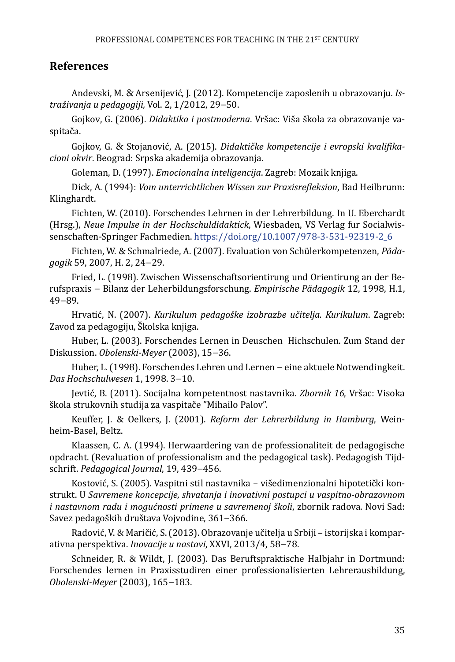#### **References**

Andevski, M. & Arsenijević, J. (2012). Kompetencije zaposlenih u obrazovanju*. Istraživanja u pedagogiji,* Vol. 2, 1/2012, 29−50.

Gojkov, G. (2006). *Didaktika i postmoderna*. Vršac: Viša škola za obrazovanje vaspitača.

Gojkov, G. & Stojanović, A. (2015). *Didaktičke kompetencije i evropski kvalifikacioni okvir*. Beograd: Srpska akademija obrazovanja.

Goleman, D. (1997). *Emocionalna inteligencija*. Zagreb: Mozaik knjiga.

Dick, A. (1994): *Vom unterrichtlichen Wissen zur Praxisrefleksion*, Bad Heilbrunn: Klinghardt.

Fichten, W. (2010). Forschendes Lehrnen in der Lehrerbildung. In U. Eberchardt (Hrsg.), *Neue Impulse in der Hochschuldidaktick*, Wiesbaden, VS Verlag fur Socialwissenschaften-Springer Fachmedien. [https://doi.org/10.1007/978-3-531-92319-2\\_6](https://doi.org/10.1007/978-3-531-92319-2_6)

Fichten, W. & Schmalriede, A. (2007). Evaluation von Schülerkompetenzen, *Pädagogik* 59, 2007, H. 2, 24−29.

Fried, L. (1998). Zwischen Wissenschaftsorientirung und Orientirung an der Berufspraxis − Bilanz der Leherbildungsforschung. *Empirische Pädagogik* 12, 1998, H.1, 49−89.

Hrvatić, N. (2007). *Kurikulum pedagoške izobrazbe učitelja. Kurikulum*. Zagreb: Zavod za pedagogiju, Školska knjiga.

Huber, L. (2003). Forschendes Lernen in Deuschen Hichschulen. Zum Stand der Diskussion. *Obolenski-Meyer* (2003), 15−36.

Huber, L. (1998). Forschendes Lehren und Lernen − eine aktuele Notwendingkeit. *Das Hochschulwesen* 1, 1998. 3−10.

Jevtić, B. (2011). Socijalna kompetentnost nastavnika. *Zbornik 16*, Vršac: Visoka škola strukovnih studija za vaspitače "Mihailo Palov".

Keuffer, J. & Oelkers, J. (2001). *Reform der Lehrerbildung in Hamburg*, Weinheim-Basel, Beltz.

Klaassen, C. A. (1994). Herwaardering van de professionaliteit de pedagogische opdracht. (Revaluation of professionalism and the pedagogical task). Pedagogish Tijdschrift. *Pedagogical Journal*, 19, 439−456.

Kostović, S. (2005). Vaspitni stil nastavnika – višedimenzionalni hipotetički konstrukt. U *Savremene koncepcije, shvatanja i inovativni postupci u vaspitno-obrazovnom i nastavnom radu i mogućnosti primene u savremenoj školi*, zbornik radova. Novi Sad: Savez pedagoških društava Vojvodine, 361–366.

Radović, V. & Maričić, S. (2013). Obrazovanje učitelja u Srbiji – istorijska i komparativna perspektiva. *Inovacije u nastavi*, XXVI, 2013/4, 58−78.

Schneider, R. & Wildt, J. (2003). Das Beruftspraktische Halbjahr in Dortmund: Forschendes lernen in Praxisstudiren einer professionalisierten Lehrerausbildung, *Obolenski-Meyer* (2003), 165−183.